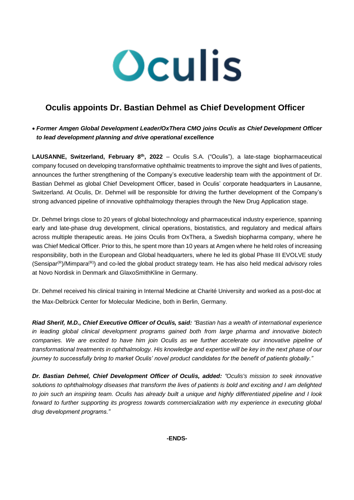# Oculis

# **Oculis appoints Dr. Bastian Dehmel as Chief Development Officer**

## • *Former Amgen Global Development Leader/OxThera CMO joins Oculis as Chief Development Officer to lead development planning and drive operational excellence*

**LAUSANNE, Switzerland, February 8 th, 2022** – Oculis S.A. ("Oculis"), a late-stage biopharmaceutical company focused on developing transformative ophthalmic treatments to improve the sight and lives of patients, announces the further strengthening of the Company's executive leadership team with the appointment of Dr. Bastian Dehmel as global Chief Development Officer, based in Oculis' corporate headquarters in Lausanne, Switzerland. At Oculis, Dr. Dehmel will be responsible for driving the further development of the Company's strong advanced pipeline of innovative ophthalmology therapies through the New Drug Application stage.

Dr. Dehmel brings close to 20 years of global biotechnology and pharmaceutical industry experience, spanning early and late-phase drug development, clinical operations, biostatistics, and regulatory and medical affairs across multiple therapeutic areas. He joins Oculis from OxThera, a Swedish biopharma company, where he was Chief Medical Officer. Prior to this, he spent more than 10 years at Amgen where he held roles of increasing responsibility, both in the European and Global headquarters, where he led its global Phase III EVOLVE study (Sensipar<sup>(R</sup>)/Mimpara<sup>(R)</sup>) and co-led the global product strategy team. He has also held medical advisory roles at Novo Nordisk in Denmark and GlaxoSmithKline in Germany.

Dr. Dehmel received his clinical training in Internal Medicine at Charité University and worked as a post-doc at the Max-Delbrück Center for Molecular Medicine, both in Berlin, Germany.

*Riad Sherif, M.D., Chief Executive Officer of Oculis, said: "Bastian has a wealth of international experience in leading global clinical development programs gained both from large pharma and innovative biotech companies. We are excited to have him join Oculis as we further accelerate our innovative pipeline of transformational treatments in ophthalmology. His knowledge and expertise will be key in the next phase of our journey to successfully bring to market Oculis' novel product candidates for the benefit of patients globally."*

*Dr. Bastian Dehmel, Chief Development Officer of Oculis, added: "Oculis's mission to seek innovative solutions to ophthalmology diseases that transform the lives of patients is bold and exciting and I am delighted to join such an inspiring team. Oculis has already built a unique and highly differentiated pipeline and I look forward to further supporting its progress towards commercialization with my experience in executing global drug development programs."* 

**-ENDS-**